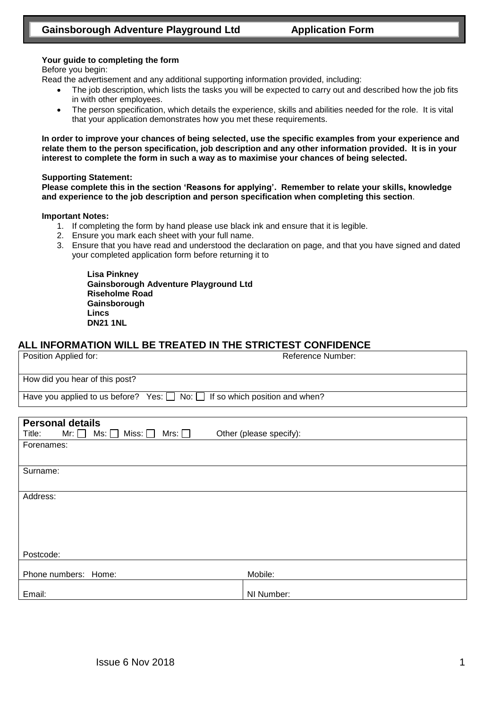#### **Your guide to completing the form**

Before you begin:

Read the advertisement and any additional supporting information provided, including:

- The job description, which lists the tasks you will be expected to carry out and described how the job fits in with other employees.
- The person specification, which details the experience, skills and abilities needed for the role. It is vital that your application demonstrates how you met these requirements.

**In order to improve your chances of being selected, use the specific examples from your experience and relate them to the person specification, job description and any other information provided. It is in your interest to complete the form in such a way as to maximise your chances of being selected.**

#### **Supporting Statement:**

**Please complete this in the section 'Reasons for applying'. Remember to relate your skills, knowledge and experience to the job description and person specification when completing this section**.

#### **Important Notes:**

- 1. If completing the form by hand please use black ink and ensure that it is legible.
- 2. Ensure you mark each sheet with your full name.
- 3. Ensure that you have read and understood the declaration on page, and that you have signed and dated your completed application form before returning it to

**Lisa Pinkney Gainsborough Adventure Playground Ltd Riseholme Road Gainsborough Lincs DN21 1NL**

### **ALL INFORMATION WILL BE TREATED IN THE STRICTEST CONFIDENCE**

| Position Applied for:                                                                           | Reference Number:       |
|-------------------------------------------------------------------------------------------------|-------------------------|
| How did you hear of this post?                                                                  |                         |
| Have you applied to us before? Yes: $\Box$ No: $\Box$ If so which position and when?            |                         |
| <b>Personal details</b><br>Ms: $\Box$<br>Miss: $\square$<br>Mrs: $\Box$<br>Title:<br>Mr: $\Box$ | Other (please specify): |
| Forenames:                                                                                      |                         |
| Surname:                                                                                        |                         |
| Address:                                                                                        |                         |
|                                                                                                 |                         |
| Postcode:                                                                                       |                         |
| Phone numbers: Home:                                                                            | Mobile:                 |
| Email:                                                                                          | NI Number:              |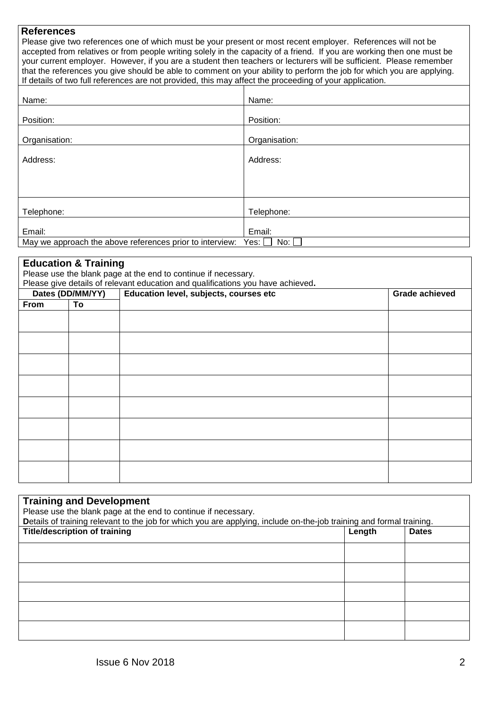### **References**

 Please give two references one of which must be your present or most recent employer. References will not be accepted from relatives or from people writing solely in the capacity of a friend. If you are working then one must be your current employer. However, if you are a student then teachers or lecturers will be sufficient. Please remember that the references you give should be able to comment on your ability to perform the job for which you are applying. If details of two full references are not provided, this may affect the proceeding of your application.

| Name:                                                                   | Name:         |  |
|-------------------------------------------------------------------------|---------------|--|
| Position:                                                               | Position:     |  |
|                                                                         |               |  |
| Organisation:                                                           | Organisation: |  |
| Address:                                                                | Address:      |  |
|                                                                         |               |  |
|                                                                         |               |  |
| Telephone:                                                              | Telephone:    |  |
|                                                                         |               |  |
| Email:                                                                  | Email:        |  |
| May we approach the above references prior to interview:<br>Yes:<br>No: |               |  |

## **Education & Training**

Please use the blank page at the end to continue if necessary. Please give details of relevant education and qualifications you have achieved**.** 

| Dates (DD/MM/YY)<br>From<br>To |  | Education level, subjects, courses etc | <b>Grade achieved</b> |
|--------------------------------|--|----------------------------------------|-----------------------|
|                                |  |                                        |                       |
|                                |  |                                        |                       |
|                                |  |                                        |                       |
|                                |  |                                        |                       |
|                                |  |                                        |                       |
|                                |  |                                        |                       |
|                                |  |                                        |                       |
|                                |  |                                        |                       |
|                                |  |                                        |                       |
|                                |  |                                        |                       |
|                                |  |                                        |                       |
|                                |  |                                        |                       |
|                                |  |                                        |                       |
|                                |  |                                        |                       |
|                                |  |                                        |                       |
|                                |  |                                        |                       |
|                                |  |                                        |                       |

### **Training and Development**

Please use the blank page at the end to continue if necessary. **D**etails of training relevant to the job for which you are applying, include on-the-job training and formal training.

| <b>Title/description of training</b> | Length | <b>Dates</b> |
|--------------------------------------|--------|--------------|
|                                      |        |              |
|                                      |        |              |
|                                      |        |              |
|                                      |        |              |
|                                      |        |              |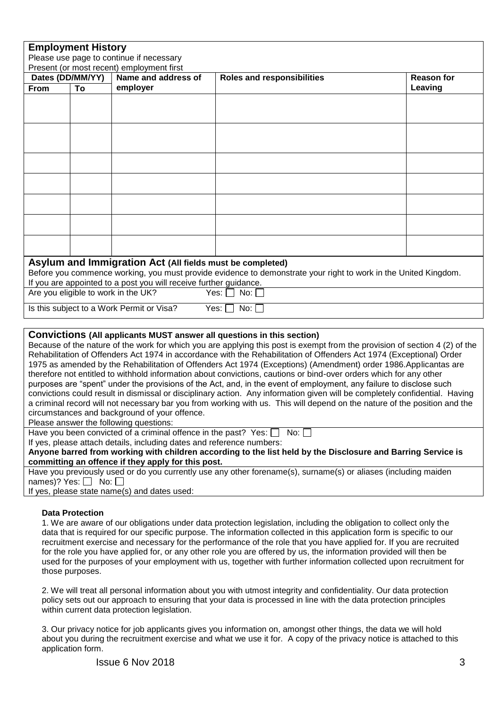| <b>Employment History</b><br>Please use page to continue if necessary                                                                                                                                                                              |    |                                                                   |                                                                                                                 |                   |  |
|----------------------------------------------------------------------------------------------------------------------------------------------------------------------------------------------------------------------------------------------------|----|-------------------------------------------------------------------|-----------------------------------------------------------------------------------------------------------------|-------------------|--|
|                                                                                                                                                                                                                                                    |    | Present (or most recent) employment first                         |                                                                                                                 |                   |  |
| Dates (DD/MM/YY)                                                                                                                                                                                                                                   |    | Name and address of                                               | <b>Roles and responsibilities</b>                                                                               | <b>Reason for</b> |  |
| From                                                                                                                                                                                                                                               | To | employer                                                          |                                                                                                                 | Leaving           |  |
|                                                                                                                                                                                                                                                    |    |                                                                   |                                                                                                                 |                   |  |
|                                                                                                                                                                                                                                                    |    |                                                                   |                                                                                                                 |                   |  |
|                                                                                                                                                                                                                                                    |    |                                                                   |                                                                                                                 |                   |  |
|                                                                                                                                                                                                                                                    |    |                                                                   |                                                                                                                 |                   |  |
|                                                                                                                                                                                                                                                    |    |                                                                   |                                                                                                                 |                   |  |
|                                                                                                                                                                                                                                                    |    |                                                                   |                                                                                                                 |                   |  |
|                                                                                                                                                                                                                                                    |    |                                                                   |                                                                                                                 |                   |  |
|                                                                                                                                                                                                                                                    |    |                                                                   |                                                                                                                 |                   |  |
|                                                                                                                                                                                                                                                    |    |                                                                   |                                                                                                                 |                   |  |
|                                                                                                                                                                                                                                                    |    |                                                                   |                                                                                                                 |                   |  |
|                                                                                                                                                                                                                                                    |    |                                                                   |                                                                                                                 |                   |  |
|                                                                                                                                                                                                                                                    |    |                                                                   |                                                                                                                 |                   |  |
|                                                                                                                                                                                                                                                    |    |                                                                   |                                                                                                                 |                   |  |
|                                                                                                                                                                                                                                                    |    |                                                                   |                                                                                                                 |                   |  |
|                                                                                                                                                                                                                                                    |    | Asylum and Immigration Act (All fields must be completed)         |                                                                                                                 |                   |  |
|                                                                                                                                                                                                                                                    |    |                                                                   | Before you commence working, you must provide evidence to demonstrate your right to work in the United Kingdom. |                   |  |
|                                                                                                                                                                                                                                                    |    | If you are appointed to a post you will receive further guidance. |                                                                                                                 |                   |  |
|                                                                                                                                                                                                                                                    |    | Are you eligible to work in the UK?                               | No: $\square$<br>Yes: $\Box$                                                                                    |                   |  |
|                                                                                                                                                                                                                                                    |    | Is this subject to a Work Permit or Visa?                         | Yes: [<br>$No: \Box$                                                                                            |                   |  |
|                                                                                                                                                                                                                                                    |    |                                                                   |                                                                                                                 |                   |  |
| <b>Convictions (All applicants MUST answer all questions in this section)</b>                                                                                                                                                                      |    |                                                                   |                                                                                                                 |                   |  |
| Because of the nature of the work for which you are applying this post is exempt from the provision of section 4 (2) of the                                                                                                                        |    |                                                                   |                                                                                                                 |                   |  |
| Rehabilitation of Offenders Act 1974 in accordance with the Rehabilitation of Offenders Act 1974 (Exceptional) Order                                                                                                                               |    |                                                                   |                                                                                                                 |                   |  |
| 1975 as amended by the Rehabilitation of Offenders Act 1974 (Exceptions) (Amendment) order 1986.Applicantas are                                                                                                                                    |    |                                                                   |                                                                                                                 |                   |  |
| therefore not entitled to withhold information about convictions, cautions or bind-over orders which for any other                                                                                                                                 |    |                                                                   |                                                                                                                 |                   |  |
| purposes are "spent" under the provisions of the Act, and, in the event of employment, any failure to disclose such<br>convictions could result in dismissal or disciplinary action. Any information given will be completely confidential. Having |    |                                                                   |                                                                                                                 |                   |  |
| a criminal record will not necessary bar you from working with us. This will depend on the nature of the position and the                                                                                                                          |    |                                                                   |                                                                                                                 |                   |  |
| circumstances and background of your offence.                                                                                                                                                                                                      |    |                                                                   |                                                                                                                 |                   |  |

Please answer the following questions:

Have you been convicted of a criminal offence in the past? Yes:  $\Box$  No:  $\Box$ 

If yes, please attach details, including dates and reference numbers:

**Anyone barred from working with children according to the list held by the Disclosure and Barring Service is committing an offence if they apply for this post.**

Have you previously used or do you currently use any other forename(s), surname(s) or aliases (including maiden names)? Yes:  $\Box$  No:  $\Box$ 

If yes, please state name(s) and dates used:

#### **Data Protection**

1. We are aware of our obligations under data protection legislation, including the obligation to collect only the data that is required for our specific purpose. The information collected in this application form is specific to our recruitment exercise and necessary for the performance of the role that you have applied for. If you are recruited for the role you have applied for, or any other role you are offered by us, the information provided will then be used for the purposes of your employment with us, together with further information collected upon recruitment for those purposes.

2. We will treat all personal information about you with utmost integrity and confidentiality. Our data protection policy sets out our approach to ensuring that your data is processed in line with the data protection principles within current data protection legislation.

3. Our privacy notice for job applicants gives you information on, amongst other things, the data we will hold about you during the recruitment exercise and what we use it for. A copy of the privacy notice is attached to this application form.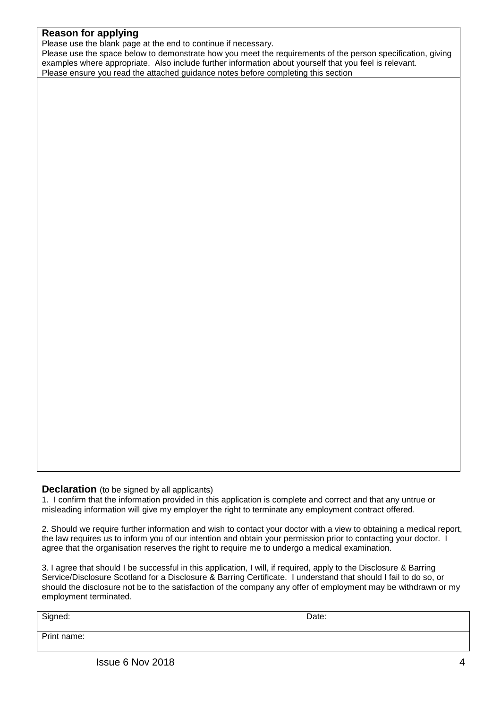# **Reason for applying**

Please use the blank page at the end to continue if necessary.

Please use the space below to demonstrate how you meet the requirements of the person specification, giving examples where appropriate. Also include further information about yourself that you feel is relevant. Please ensure you read the attached guidance notes before completing this section

### **Declaration** (to be signed by all applicants)

1. I confirm that the information provided in this application is complete and correct and that any untrue or misleading information will give my employer the right to terminate any employment contract offered.

2. Should we require further information and wish to contact your doctor with a view to obtaining a medical report, the law requires us to inform you of our intention and obtain your permission prior to contacting your doctor. I agree that the organisation reserves the right to require me to undergo a medical examination.

3. I agree that should I be successful in this application, I will, if required, apply to the Disclosure & Barring Service/Disclosure Scotland for a Disclosure & Barring Certificate. I understand that should I fail to do so, or should the disclosure not be to the satisfaction of the company any offer of employment may be withdrawn or my employment terminated.

Signed: Date:

Print name: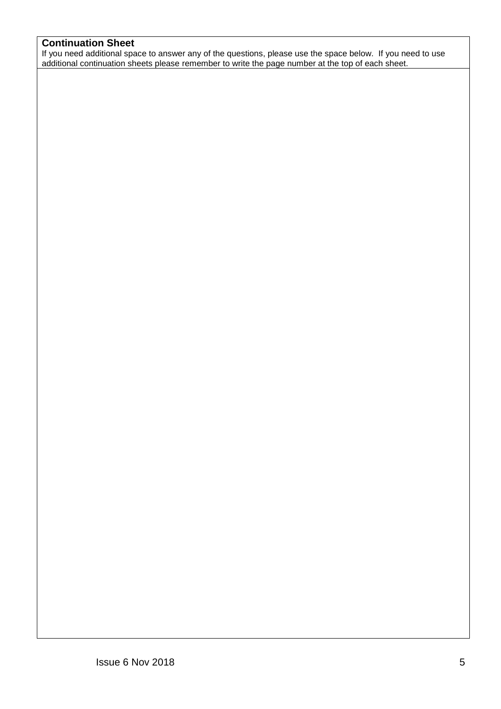# **Continuation Sheet**

If you need additional space to answer any of the questions, please use the space below. If you need to use additional continuation sheets please remember to write the page number at the top of each sheet.